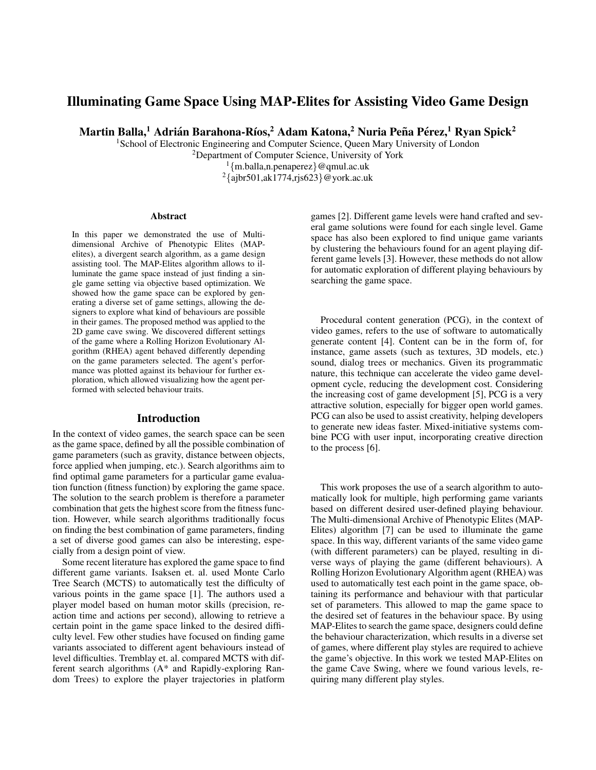# Illuminating Game Space Using MAP-Elites for Assisting Video Game Design

Martin Balla, $^1$  Adrián Barahona-Ríos, $^2$  Adam Katona, $^2$  Nuria Peña Pérez, $^1$  Ryan Spick $^2$ 

<sup>1</sup>School of Electronic Engineering and Computer Science, Queen Mary University of London

<sup>2</sup>Department of Computer Science, University of York

<sup>1</sup>{m.balla,n.penaperez}@qmul.ac.uk  $2\{\text{ajbr}501,\text{ak}1774,\text{rjs}623\}$ @york.ac.uk

#### Abstract

In this paper we demonstrated the use of Multidimensional Archive of Phenotypic Elites (MAPelites), a divergent search algorithm, as a game design assisting tool. The MAP-Elites algorithm allows to illuminate the game space instead of just finding a single game setting via objective based optimization. We showed how the game space can be explored by generating a diverse set of game settings, allowing the designers to explore what kind of behaviours are possible in their games. The proposed method was applied to the 2D game cave swing. We discovered different settings of the game where a Rolling Horizon Evolutionary Algorithm (RHEA) agent behaved differently depending on the game parameters selected. The agent's performance was plotted against its behaviour for further exploration, which allowed visualizing how the agent performed with selected behaviour traits.

### Introduction

In the context of video games, the search space can be seen as the game space, defined by all the possible combination of game parameters (such as gravity, distance between objects, force applied when jumping, etc.). Search algorithms aim to find optimal game parameters for a particular game evaluation function (fitness function) by exploring the game space. The solution to the search problem is therefore a parameter combination that gets the highest score from the fitness function. However, while search algorithms traditionally focus on finding the best combination of game parameters, finding a set of diverse good games can also be interesting, especially from a design point of view.

Some recent literature has explored the game space to find different game variants. Isaksen et. al. used Monte Carlo Tree Search (MCTS) to automatically test the difficulty of various points in the game space [1]. The authors used a player model based on human motor skills (precision, reaction time and actions per second), allowing to retrieve a certain point in the game space linked to the desired difficulty level. Few other studies have focused on finding game variants associated to different agent behaviours instead of level difficulties. Tremblay et. al. compared MCTS with different search algorithms (A\* and Rapidly-exploring Random Trees) to explore the player trajectories in platform

games [2]. Different game levels were hand crafted and several game solutions were found for each single level. Game space has also been explored to find unique game variants by clustering the behaviours found for an agent playing different game levels [3]. However, these methods do not allow for automatic exploration of different playing behaviours by searching the game space.

Procedural content generation (PCG), in the context of video games, refers to the use of software to automatically generate content [4]. Content can be in the form of, for instance, game assets (such as textures, 3D models, etc.) sound, dialog trees or mechanics. Given its programmatic nature, this technique can accelerate the video game development cycle, reducing the development cost. Considering the increasing cost of game development [5], PCG is a very attractive solution, especially for bigger open world games. PCG can also be used to assist creativity, helping developers to generate new ideas faster. Mixed-initiative systems combine PCG with user input, incorporating creative direction to the process [6].

This work proposes the use of a search algorithm to automatically look for multiple, high performing game variants based on different desired user-defined playing behaviour. The Multi-dimensional Archive of Phenotypic Elites (MAP-Elites) algorithm [7] can be used to illuminate the game space. In this way, different variants of the same video game (with different parameters) can be played, resulting in diverse ways of playing the game (different behaviours). A Rolling Horizon Evolutionary Algorithm agent (RHEA) was used to automatically test each point in the game space, obtaining its performance and behaviour with that particular set of parameters. This allowed to map the game space to the desired set of features in the behaviour space. By using MAP-Elites to search the game space, designers could define the behaviour characterization, which results in a diverse set of games, where different play styles are required to achieve the game's objective. In this work we tested MAP-Elites on the game Cave Swing, where we found various levels, requiring many different play styles.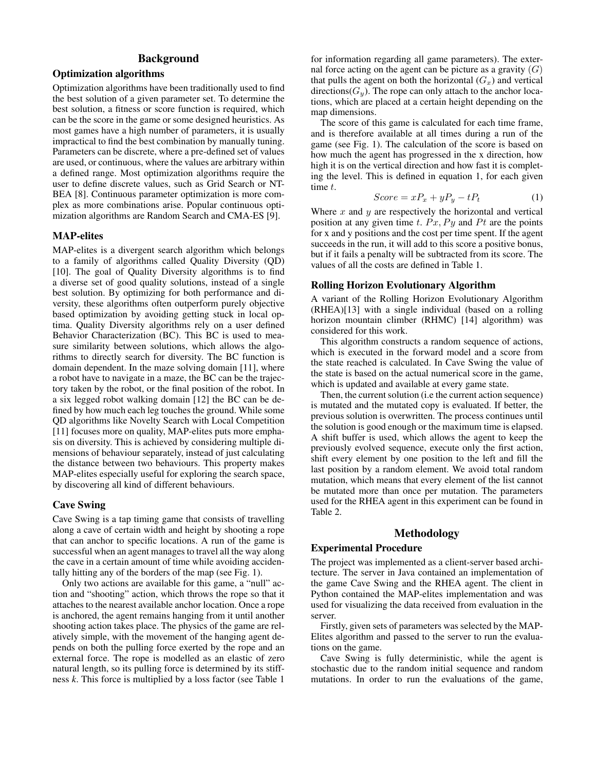# Background

# Optimization algorithms

Optimization algorithms have been traditionally used to find the best solution of a given parameter set. To determine the best solution, a fitness or score function is required, which can be the score in the game or some designed heuristics. As most games have a high number of parameters, it is usually impractical to find the best combination by manually tuning. Parameters can be discrete, where a pre-defined set of values are used, or continuous, where the values are arbitrary within a defined range. Most optimization algorithms require the user to define discrete values, such as Grid Search or NT-BEA [8]. Continuous parameter optimization is more complex as more combinations arise. Popular continuous optimization algorithms are Random Search and CMA-ES [9].

## MAP-elites

MAP-elites is a divergent search algorithm which belongs to a family of algorithms called Quality Diversity (QD) [10]. The goal of Quality Diversity algorithms is to find a diverse set of good quality solutions, instead of a single best solution. By optimizing for both performance and diversity, these algorithms often outperform purely objective based optimization by avoiding getting stuck in local optima. Quality Diversity algorithms rely on a user defined Behavior Characterization (BC). This BC is used to measure similarity between solutions, which allows the algorithms to directly search for diversity. The BC function is domain dependent. In the maze solving domain [11], where a robot have to navigate in a maze, the BC can be the trajectory taken by the robot, or the final position of the robot. In a six legged robot walking domain [12] the BC can be defined by how much each leg touches the ground. While some QD algorithms like Novelty Search with Local Competition [11] focuses more on quality, MAP-elites puts more emphasis on diversity. This is achieved by considering multiple dimensions of behaviour separately, instead of just calculating the distance between two behaviours. This property makes MAP-elites especially useful for exploring the search space, by discovering all kind of different behaviours.

### Cave Swing

Cave Swing is a tap timing game that consists of travelling along a cave of certain width and height by shooting a rope that can anchor to specific locations. A run of the game is successful when an agent manages to travel all the way along the cave in a certain amount of time while avoiding accidentally hitting any of the borders of the map (see Fig. 1).

Only two actions are available for this game, a "null" action and "shooting" action, which throws the rope so that it attaches to the nearest available anchor location. Once a rope is anchored, the agent remains hanging from it until another shooting action takes place. The physics of the game are relatively simple, with the movement of the hanging agent depends on both the pulling force exerted by the rope and an external force. The rope is modelled as an elastic of zero natural length, so its pulling force is determined by its stiffness *k*. This force is multiplied by a loss factor (see Table 1

for information regarding all game parameters). The external force acting on the agent can be picture as a gravity  $(G)$ that pulls the agent on both the horizontal  $(G_x)$  and vertical directions( $G_y$ ). The rope can only attach to the anchor locations, which are placed at a certain height depending on the map dimensions.

The score of this game is calculated for each time frame, and is therefore available at all times during a run of the game (see Fig. 1). The calculation of the score is based on how much the agent has progressed in the x direction, how high it is on the vertical direction and how fast it is completing the level. This is defined in equation 1, for each given time t.

$$
Score = xP_x + yP_y - tP_t \tag{1}
$$

Where  $x$  and  $y$  are respectively the horizontal and vertical position at any given time t.  $Px$ ,  $Py$  and  $Pt$  are the points for x and y positions and the cost per time spent. If the agent succeeds in the run, it will add to this score a positive bonus, but if it fails a penalty will be subtracted from its score. The values of all the costs are defined in Table 1.

### Rolling Horizon Evolutionary Algorithm

A variant of the Rolling Horizon Evolutionary Algorithm (RHEA)[13] with a single individual (based on a rolling horizon mountain climber (RHMC) [14] algorithm) was considered for this work.

This algorithm constructs a random sequence of actions, which is executed in the forward model and a score from the state reached is calculated. In Cave Swing the value of the state is based on the actual numerical score in the game, which is updated and available at every game state.

Then, the current solution (i.e the current action sequence) is mutated and the mutated copy is evaluated. If better, the previous solution is overwritten. The process continues until the solution is good enough or the maximum time is elapsed. A shift buffer is used, which allows the agent to keep the previously evolved sequence, execute only the first action, shift every element by one position to the left and fill the last position by a random element. We avoid total random mutation, which means that every element of the list cannot be mutated more than once per mutation. The parameters used for the RHEA agent in this experiment can be found in Table 2.

## Methodology

#### Experimental Procedure

The project was implemented as a client-server based architecture. The server in Java contained an implementation of the game Cave Swing and the RHEA agent. The client in Python contained the MAP-elites implementation and was used for visualizing the data received from evaluation in the server.

Firstly, given sets of parameters was selected by the MAP-Elites algorithm and passed to the server to run the evaluations on the game.

Cave Swing is fully deterministic, while the agent is stochastic due to the random initial sequence and random mutations. In order to run the evaluations of the game,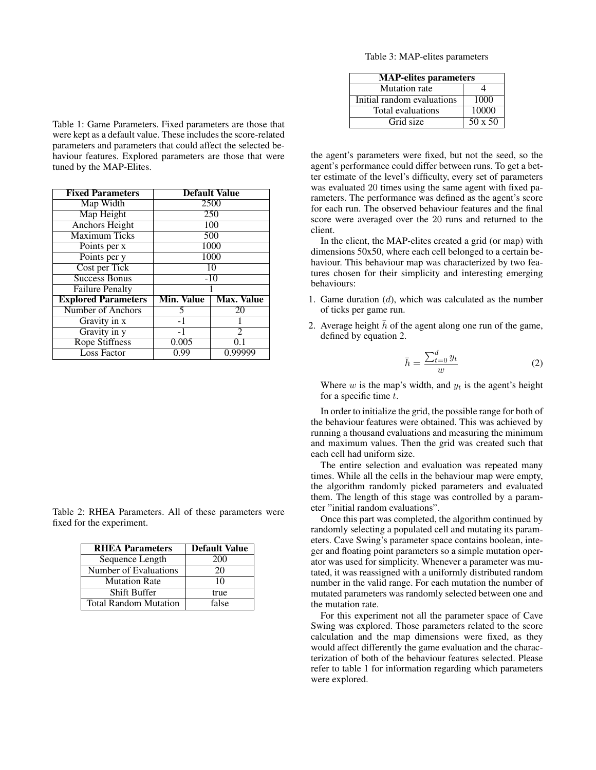Table 3: MAP-elites parameters

| <b>MAP-elites</b> parameters |                |
|------------------------------|----------------|
| <b>Mutation</b> rate         |                |
| Initial random evaluations   | 1000           |
| Total evaluations            | 10000          |
| Grid size                    | $50 \times 50$ |

Table 1: Game Parameters. Fixed parameters are those that were kept as a default value. These includes the score-related parameters and parameters that could affect the selected behaviour features. Explored parameters are those that were tuned by the MAP-Elites.

| <b>Fixed Parameters</b>    |                 | <b>Default Value</b> |
|----------------------------|-----------------|----------------------|
| Map Width                  | 2500            |                      |
| Map Height                 | 250             |                      |
| <b>Anchors Height</b>      | 100             |                      |
| <b>Maximum Ticks</b>       | 500             |                      |
| Points per x               | 1000            |                      |
| Points per y               | 1000            |                      |
| Cost per Tick              | $\overline{10}$ |                      |
| <b>Success Bonus</b>       | $-10$           |                      |
| <b>Failure Penalty</b>     |                 |                      |
| <b>Explored Parameters</b> | Min. Value      | <b>Max. Value</b>    |
| Number of Anchors          | 5               | 20                   |
| Gravity in x               | $-1$            |                      |
| Gravity in y               | $-1$            | $\overline{2}$       |
| <b>Rope Stiffness</b>      | 0.005           | 0.1                  |
| <b>Loss Factor</b>         | 0.99            | 0.99999              |

Table 2: RHEA Parameters. All of these parameters were fixed for the experiment.

| <b>RHEA Parameters</b>       | <b>Default Value</b> |
|------------------------------|----------------------|
| Sequence Length              | 200                  |
| Number of Evaluations        | 20                   |
| <b>Mutation Rate</b>         | 10                   |
| <b>Shift Buffer</b>          | true                 |
| <b>Total Random Mutation</b> | false                |

the agent's parameters were fixed, but not the seed, so the agent's performance could differ between runs. To get a better estimate of the level's difficulty, every set of parameters was evaluated 20 times using the same agent with fixed parameters. The performance was defined as the agent's score for each run. The observed behaviour features and the final score were averaged over the 20 runs and returned to the client.

In the client, the MAP-elites created a grid (or map) with dimensions 50x50, where each cell belonged to a certain behaviour. This behaviour map was characterized by two features chosen for their simplicity and interesting emerging behaviours:

- 1. Game duration  $(d)$ , which was calculated as the number of ticks per game run.
- 2. Average height  $h$  of the agent along one run of the game, defined by equation 2.

$$
\bar{h} = \frac{\sum_{t=0}^{d} y_t}{w} \tag{2}
$$

Where  $w$  is the map's width, and  $y_t$  is the agent's height for a specific time  $t$ .

In order to initialize the grid, the possible range for both of the behaviour features were obtained. This was achieved by running a thousand evaluations and measuring the minimum and maximum values. Then the grid was created such that each cell had uniform size.

The entire selection and evaluation was repeated many times. While all the cells in the behaviour map were empty, the algorithm randomly picked parameters and evaluated them. The length of this stage was controlled by a parameter "initial random evaluations".

Once this part was completed, the algorithm continued by randomly selecting a populated cell and mutating its parameters. Cave Swing's parameter space contains boolean, integer and floating point parameters so a simple mutation operator was used for simplicity. Whenever a parameter was mutated, it was reassigned with a uniformly distributed random number in the valid range. For each mutation the number of mutated parameters was randomly selected between one and the mutation rate.

For this experiment not all the parameter space of Cave Swing was explored. Those parameters related to the score calculation and the map dimensions were fixed, as they would affect differently the game evaluation and the characterization of both of the behaviour features selected. Please refer to table 1 for information regarding which parameters were explored.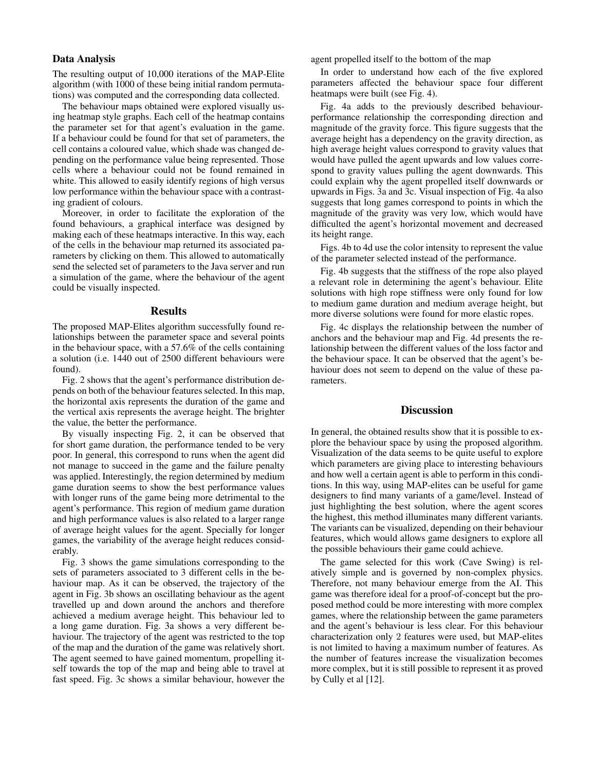# Data Analysis

The resulting output of 10,000 iterations of the MAP-Elite algorithm (with 1000 of these being initial random permutations) was computed and the corresponding data collected.

The behaviour maps obtained were explored visually using heatmap style graphs. Each cell of the heatmap contains the parameter set for that agent's evaluation in the game. If a behaviour could be found for that set of parameters, the cell contains a coloured value, which shade was changed depending on the performance value being represented. Those cells where a behaviour could not be found remained in white. This allowed to easily identify regions of high versus low performance within the behaviour space with a contrasting gradient of colours.

Moreover, in order to facilitate the exploration of the found behaviours, a graphical interface was designed by making each of these heatmaps interactive. In this way, each of the cells in the behaviour map returned its associated parameters by clicking on them. This allowed to automatically send the selected set of parameters to the Java server and run a simulation of the game, where the behaviour of the agent could be visually inspected.

# Results

The proposed MAP-Elites algorithm successfully found relationships between the parameter space and several points in the behaviour space, with a 57.6% of the cells containing a solution (i.e. 1440 out of 2500 different behaviours were found).

Fig. 2 shows that the agent's performance distribution depends on both of the behaviour features selected. In this map, the horizontal axis represents the duration of the game and the vertical axis represents the average height. The brighter the value, the better the performance.

By visually inspecting Fig. 2, it can be observed that for short game duration, the performance tended to be very poor. In general, this correspond to runs when the agent did not manage to succeed in the game and the failure penalty was applied. Interestingly, the region determined by medium game duration seems to show the best performance values with longer runs of the game being more detrimental to the agent's performance. This region of medium game duration and high performance values is also related to a larger range of average height values for the agent. Specially for longer games, the variability of the average height reduces considerably.

Fig. 3 shows the game simulations corresponding to the sets of parameters associated to 3 different cells in the behaviour map. As it can be observed, the trajectory of the agent in Fig. 3b shows an oscillating behaviour as the agent travelled up and down around the anchors and therefore achieved a medium average height. This behaviour led to a long game duration. Fig. 3a shows a very different behaviour. The trajectory of the agent was restricted to the top of the map and the duration of the game was relatively short. The agent seemed to have gained momentum, propelling itself towards the top of the map and being able to travel at fast speed. Fig. 3c shows a similar behaviour, however the

agent propelled itself to the bottom of the map

In order to understand how each of the five explored parameters affected the behaviour space four different heatmaps were built (see Fig. 4).

Fig. 4a adds to the previously described behaviourperformance relationship the corresponding direction and magnitude of the gravity force. This figure suggests that the average height has a dependency on the gravity direction, as high average height values correspond to gravity values that would have pulled the agent upwards and low values correspond to gravity values pulling the agent downwards. This could explain why the agent propelled itself downwards or upwards in Figs. 3a and 3c. Visual inspection of Fig. 4a also suggests that long games correspond to points in which the magnitude of the gravity was very low, which would have difficulted the agent's horizontal movement and decreased its height range.

Figs. 4b to 4d use the color intensity to represent the value of the parameter selected instead of the performance.

Fig. 4b suggests that the stiffness of the rope also played a relevant role in determining the agent's behaviour. Elite solutions with high rope stiffness were only found for low to medium game duration and medium average height, but more diverse solutions were found for more elastic ropes.

Fig. 4c displays the relationship between the number of anchors and the behaviour map and Fig. 4d presents the relationship between the different values of the loss factor and the behaviour space. It can be observed that the agent's behaviour does not seem to depend on the value of these parameters.

#### **Discussion**

In general, the obtained results show that it is possible to explore the behaviour space by using the proposed algorithm. Visualization of the data seems to be quite useful to explore which parameters are giving place to interesting behaviours and how well a certain agent is able to perform in this conditions. In this way, using MAP-elites can be useful for game designers to find many variants of a game/level. Instead of just highlighting the best solution, where the agent scores the highest, this method illuminates many different variants. The variants can be visualized, depending on their behaviour features, which would allows game designers to explore all the possible behaviours their game could achieve.

The game selected for this work (Cave Swing) is relatively simple and is governed by non-complex physics. Therefore, not many behaviour emerge from the AI. This game was therefore ideal for a proof-of-concept but the proposed method could be more interesting with more complex games, where the relationship between the game parameters and the agent's behaviour is less clear. For this behaviour characterization only 2 features were used, but MAP-elites is not limited to having a maximum number of features. As the number of features increase the visualization becomes more complex, but it is still possible to represent it as proved by Cully et al [12].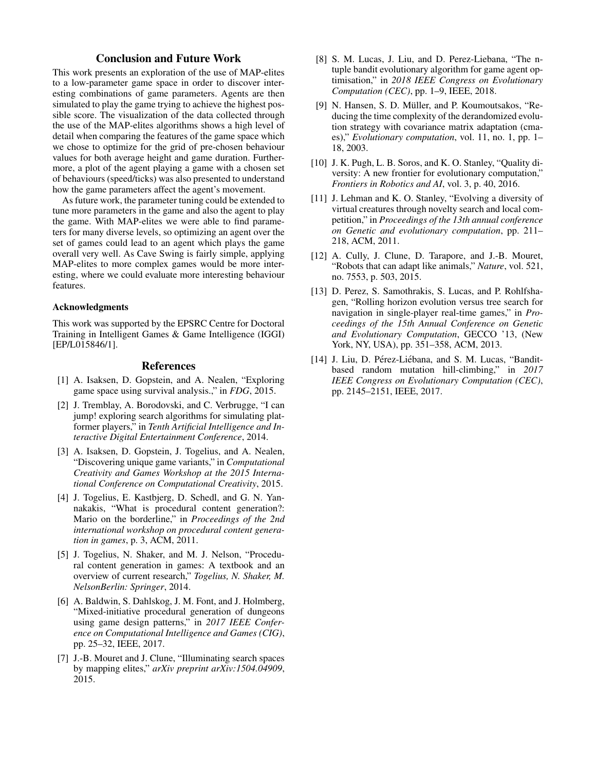# Conclusion and Future Work

This work presents an exploration of the use of MAP-elites to a low-parameter game space in order to discover interesting combinations of game parameters. Agents are then simulated to play the game trying to achieve the highest possible score. The visualization of the data collected through the use of the MAP-elites algorithms shows a high level of detail when comparing the features of the game space which we chose to optimize for the grid of pre-chosen behaviour values for both average height and game duration. Furthermore, a plot of the agent playing a game with a chosen set of behaviours (speed/ticks) was also presented to understand how the game parameters affect the agent's movement.

As future work, the parameter tuning could be extended to tune more parameters in the game and also the agent to play the game. With MAP-elites we were able to find parameters for many diverse levels, so optimizing an agent over the set of games could lead to an agent which plays the game overall very well. As Cave Swing is fairly simple, applying MAP-elites to more complex games would be more interesting, where we could evaluate more interesting behaviour features.

#### Acknowledgments

This work was supported by the EPSRC Centre for Doctoral Training in Intelligent Games & Game Intelligence (IGGI) [EP/L015846/1].

#### References

- [1] A. Isaksen, D. Gopstein, and A. Nealen, "Exploring game space using survival analysis.," in *FDG*, 2015.
- [2] J. Tremblay, A. Borodovski, and C. Verbrugge, "I can jump! exploring search algorithms for simulating platformer players," in *Tenth Artificial Intelligence and Interactive Digital Entertainment Conference*, 2014.
- [3] A. Isaksen, D. Gopstein, J. Togelius, and A. Nealen, "Discovering unique game variants," in *Computational Creativity and Games Workshop at the 2015 International Conference on Computational Creativity*, 2015.
- [4] J. Togelius, E. Kastbjerg, D. Schedl, and G. N. Yannakakis, "What is procedural content generation?: Mario on the borderline," in *Proceedings of the 2nd international workshop on procedural content generation in games*, p. 3, ACM, 2011.
- [5] J. Togelius, N. Shaker, and M. J. Nelson, "Procedural content generation in games: A textbook and an overview of current research," *Togelius, N. Shaker, M. NelsonBerlin: Springer*, 2014.
- [6] A. Baldwin, S. Dahlskog, J. M. Font, and J. Holmberg, "Mixed-initiative procedural generation of dungeons using game design patterns," in *2017 IEEE Conference on Computational Intelligence and Games (CIG)*, pp. 25–32, IEEE, 2017.
- [7] J.-B. Mouret and J. Clune, "Illuminating search spaces by mapping elites," *arXiv preprint arXiv:1504.04909*, 2015.
- [8] S. M. Lucas, J. Liu, and D. Perez-Liebana, "The ntuple bandit evolutionary algorithm for game agent optimisation," in *2018 IEEE Congress on Evolutionary Computation (CEC)*, pp. 1–9, IEEE, 2018.
- [9] N. Hansen, S. D. Müller, and P. Koumoutsakos, "Reducing the time complexity of the derandomized evolution strategy with covariance matrix adaptation (cmaes)," *Evolutionary computation*, vol. 11, no. 1, pp. 1– 18, 2003.
- [10] J. K. Pugh, L. B. Soros, and K. O. Stanley, "Quality diversity: A new frontier for evolutionary computation," *Frontiers in Robotics and AI*, vol. 3, p. 40, 2016.
- [11] J. Lehman and K. O. Stanley, "Evolving a diversity of virtual creatures through novelty search and local competition," in *Proceedings of the 13th annual conference on Genetic and evolutionary computation*, pp. 211– 218, ACM, 2011.
- [12] A. Cully, J. Clune, D. Tarapore, and J.-B. Mouret, "Robots that can adapt like animals," *Nature*, vol. 521, no. 7553, p. 503, 2015.
- [13] D. Perez, S. Samothrakis, S. Lucas, and P. Rohlfshagen, "Rolling horizon evolution versus tree search for navigation in single-player real-time games," in *Proceedings of the 15th Annual Conference on Genetic and Evolutionary Computation*, GECCO '13, (New York, NY, USA), pp. 351–358, ACM, 2013.
- [14] J. Liu, D. Pérez-Liébana, and S. M. Lucas, "Banditbased random mutation hill-climbing," in *2017 IEEE Congress on Evolutionary Computation (CEC)*, pp. 2145–2151, IEEE, 2017.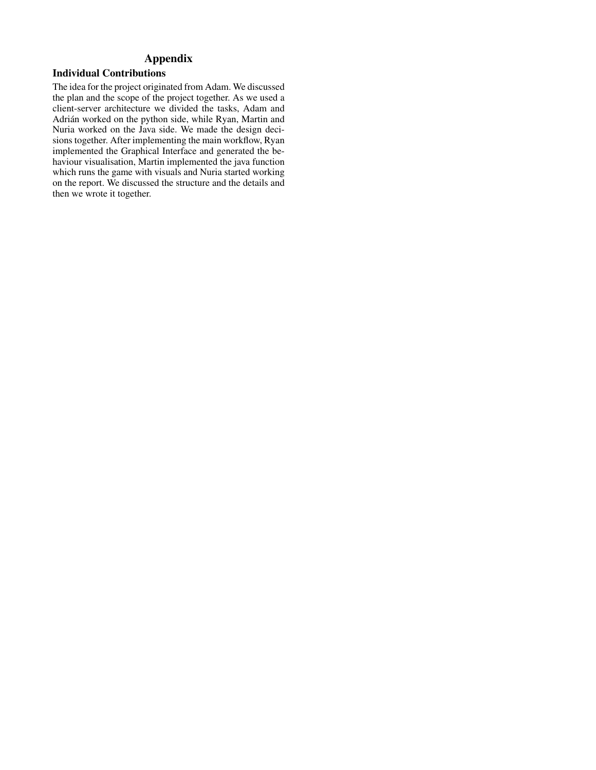# Appendix

# Individual Contributions

The idea for the project originated from Adam. We discussed the plan and the scope of the project together. As we used a client-server architecture we divided the tasks, Adam and Adrián worked on the python side, while Ryan, Martin and Nuria worked on the Java side. We made the design decisions together. After implementing the main workflow, Ryan implemented the Graphical Interface and generated the behaviour visualisation, Martin implemented the java function which runs the game with visuals and Nuria started working on the report. We discussed the structure and the details and then we wrote it together.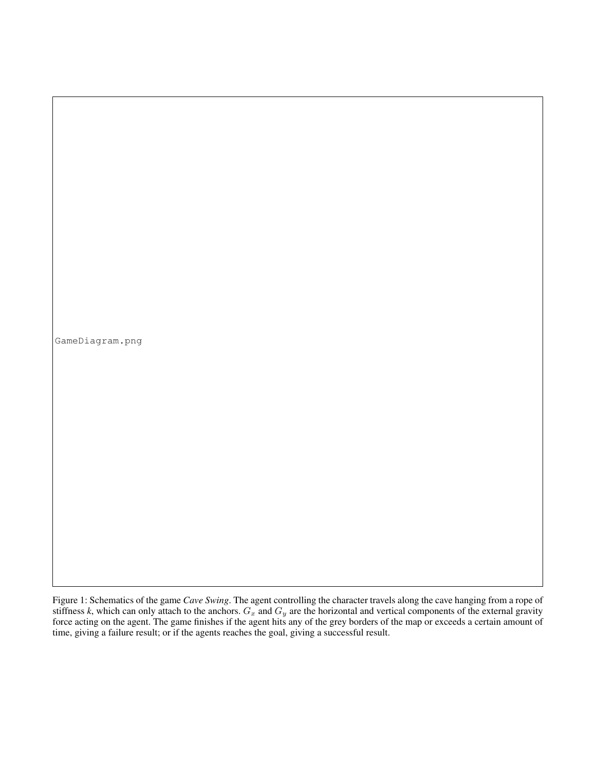GameDiagram.png

Figure 1: Schematics of the game *Cave Swing*. The agent controlling the character travels along the cave hanging from a rope of stiffness *k*, which can only attach to the anchors.  $G_x$  and  $G_y$  are the horizontal and vertical components of the external gravity force acting on the agent. The game finishes if the agent hits any of the grey borders of the map or exceeds a certain amount of time, giving a failure result; or if the agents reaches the goal, giving a successful result.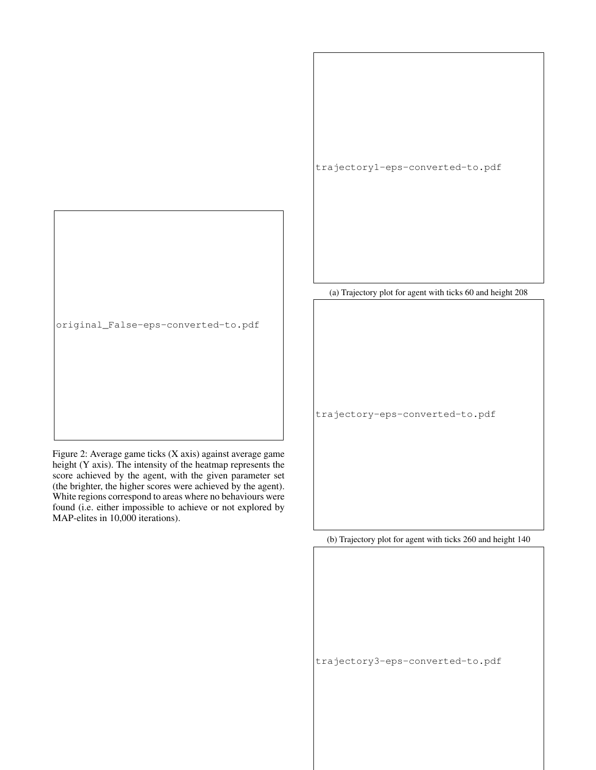

Figure 2: Average game ticks (X axis) against average game height (Y axis). The intensity of the heatmap represents the score achieved by the agent, with the given parameter set (the brighter, the higher scores were achieved by the agent). White regions correspond to areas where no behaviours were found (i.e. either impossible to achieve or not explored by MAP-elites in 10,000 iterations).

(a) Trajectory plot for agent with ticks 60 and height 208

trajectory1-eps-converted-to.pdf

trajectory-eps-converted-to.pdf

(b) Trajectory plot for agent with ticks 260 and height 140

trajectory3-eps-converted-to.pdf